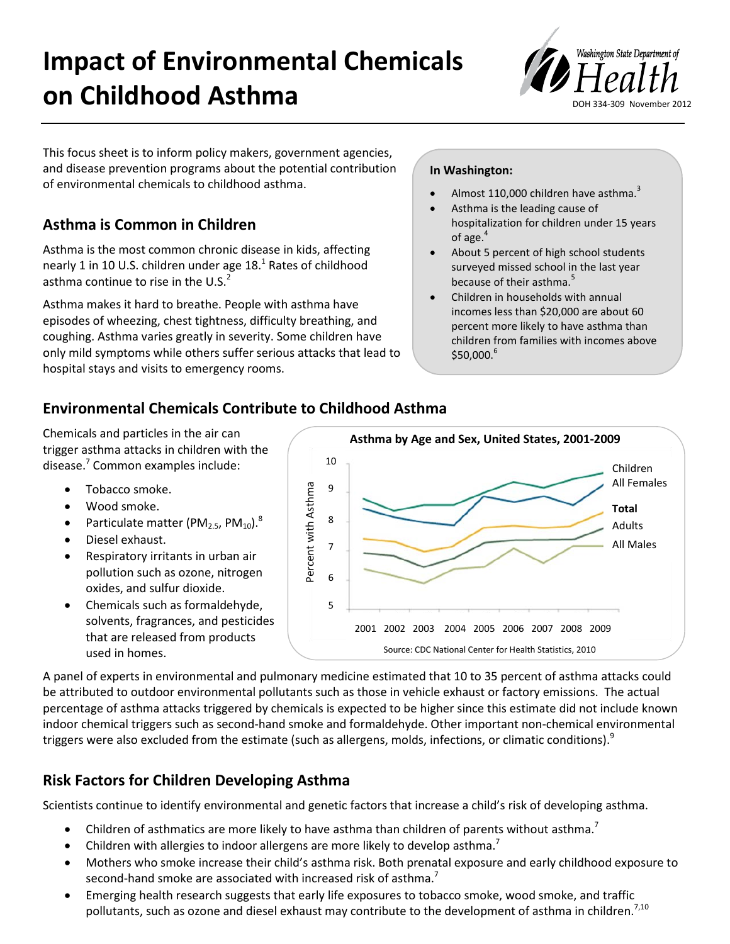# **Impact of Environmental Chemicals on Childhood Asthma**



This focus sheet is to inform policy makers, government agencies, and disease prevention programs about the potential contribution of environmental chemicals to childhood asthma.

# **Asthma is Common in Children**

Asthma is the most common chronic disease in kids, affecting nearly 1 in 10 U.S. children under age  $18<sup>1</sup>$  Rates of childhood asthma continue to rise in the U.S. $<sup>2</sup>$ </sup>

Asthma makes it hard to breathe. People with asthma have episodes of wheezing, chest tightness, difficulty breathing, and coughing. Asthma varies greatly in severity. Some children have only mild symptoms while others suffer serious attacks that lead to hospital stays and visits to emergency rooms.

### **In Washington:**

- Almost 110,000 children have asthma.<sup>3</sup>
- Asthma is the leading cause of hospitalization for children under 15 years of age.<sup>4</sup>
- About 5 percent of high school students surveyed missed school in the last year because of their asthma.<sup>5</sup>
- Children in households with annual incomes less than \$20,000 are about 60 percent more likely to have asthma than children from families with incomes above  $$50,000.<sup>6</sup>$

## **Environmental Chemicals Contribute to Childhood Asthma**

Chemicals and particles in the air can trigger asthma attacks in children with the disease.7 Common examples include:

- Tobacco smoke.
- Wood smoke.
- Particulate matter (PM<sub>2.5</sub>, PM<sub>10</sub>).<sup>8</sup>
- Diesel exhaust.
- Respiratory irritants in urban air pollution such as ozone, nitrogen oxides, and sulfur dioxide.
- Chemicals such as formaldehyde, solvents, fragrances, and pesticides that are released from products used in homes.



A panel of experts in environmental and pulmonary medicine estimated that 10 to 35 percent of asthma attacks could be attributed to outdoor environmental pollutants such as those in vehicle exhaust or factory emissions. The actual percentage of asthma attacks triggered by chemicals is expected to be higher since this estimate did not include known indoor chemical triggers such as second-hand smoke and formaldehyde. Other important non-chemical environmental triggers were also excluded from the estimate (such as allergens, molds, infections, or climatic conditions).<sup>9</sup>

# **Risk Factors for Children Developing Asthma**

Scientists continue to identify environmental and genetic factors that increase a child's risk of developing asthma.

- Children of asthmatics are more likely to have asthma than children of parents without asthma.<sup>7</sup>
- Children with allergies to indoor allergens are more likely to develop asthma.<sup>7</sup>
- Mothers who smoke increase their child's asthma risk. Both prenatal exposure and early childhood exposure to second-hand smoke are associated with increased risk of asthma.<sup>7</sup>
- Emerging health research suggests that early life exposures to tobacco smoke, wood smoke, and traffic pollutants, such as ozone and diesel exhaust may contribute to the development of asthma in children.<sup>7,10</sup>